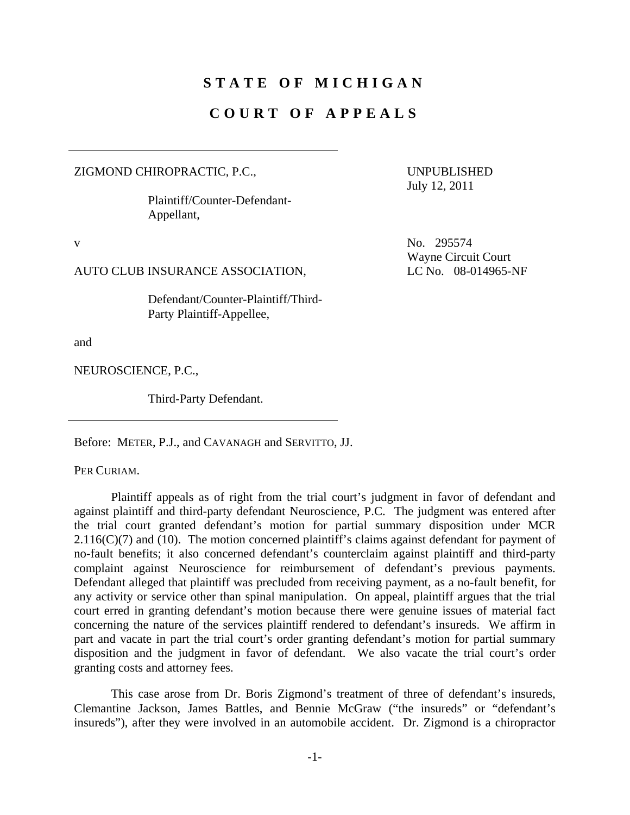# **STATE OF MICHIGAN**

## **COURT OF APPEALS**

ZIGMOND CHIROPRACTIC, P.C.,

 Plaintiff/Counter-Defendant-Appellant,

UNPUBLISHED July 12, 2011

Wayne Circuit Court

v No. 295574

AUTO CLUB INSURANCE ASSOCIATION, LC No. 08-014965-NF

 Defendant/Counter-Plaintiff/Third-Party Plaintiff-Appellee,

and

NEUROSCIENCE, P.C.,

Third-Party Defendant.

Before: METER, P.J., and CAVANAGH and SERVITTO, JJ.

PER CURIAM.

 Plaintiff appeals as of right from the trial court's judgment in favor of defendant and against plaintiff and third-party defendant Neuroscience, P.C. The judgment was entered after the trial court granted defendant's motion for partial summary disposition under MCR  $2.116(C)(7)$  and (10). The motion concerned plaintiff's claims against defendant for payment of no-fault benefits; it also concerned defendant's counterclaim against plaintiff and third-party complaint against Neuroscience for reimbursement of defendant's previous payments. Defendant alleged that plaintiff was precluded from receiving payment, as a no-fault benefit, for any activity or service other than spinal manipulation. On appeal, plaintiff argues that the trial court erred in granting defendant's motion because there were genuine issues of material fact concerning the nature of the services plaintiff rendered to defendant's insureds. We affirm in part and vacate in part the trial court's order granting defendant's motion for partial summary disposition and the judgment in favor of defendant. We also vacate the trial court's order granting costs and attorney fees.

 This case arose from Dr. Boris Zigmond's treatment of three of defendant's insureds, Clemantine Jackson, James Battles, and Bennie McGraw ("the insureds" or "defendant's insureds"), after they were involved in an automobile accident. Dr. Zigmond is a chiropractor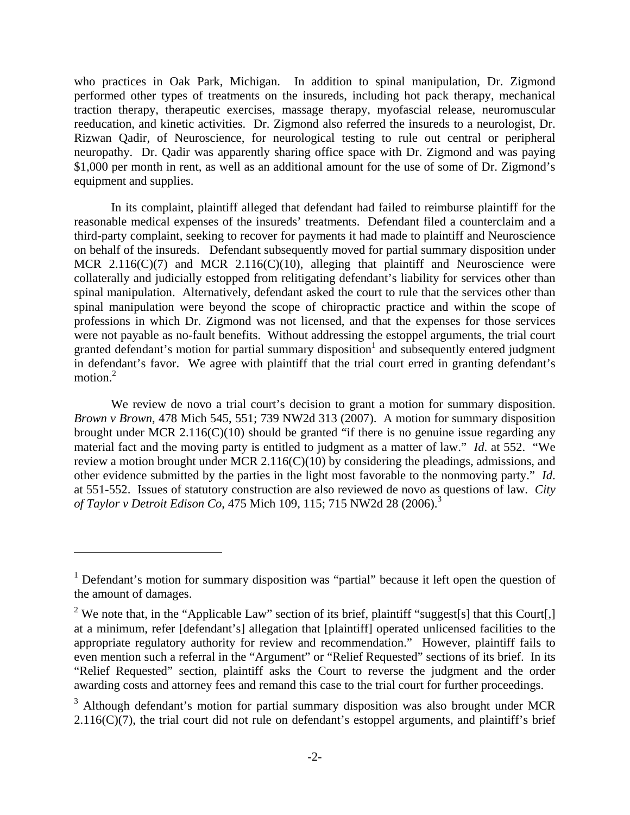who practices in Oak Park, Michigan. In addition to spinal manipulation, Dr. Zigmond performed other types of treatments on the insureds, including hot pack therapy, mechanical traction therapy, therapeutic exercises, massage therapy, myofascial release, neuromuscular reeducation, and kinetic activities. Dr. Zigmond also referred the insureds to a neurologist, Dr. Rizwan Qadir, of Neuroscience, for neurological testing to rule out central or peripheral neuropathy. Dr. Qadir was apparently sharing office space with Dr. Zigmond and was paying \$1,000 per month in rent, as well as an additional amount for the use of some of Dr. Zigmond's equipment and supplies.

 In its complaint, plaintiff alleged that defendant had failed to reimburse plaintiff for the reasonable medical expenses of the insureds' treatments. Defendant filed a counterclaim and a third-party complaint, seeking to recover for payments it had made to plaintiff and Neuroscience on behalf of the insureds. Defendant subsequently moved for partial summary disposition under MCR  $2.116(C)(7)$  and MCR  $2.116(C)(10)$ , alleging that plaintiff and Neuroscience were collaterally and judicially estopped from relitigating defendant's liability for services other than spinal manipulation. Alternatively, defendant asked the court to rule that the services other than spinal manipulation were beyond the scope of chiropractic practice and within the scope of professions in which Dr. Zigmond was not licensed, and that the expenses for those services were not payable as no-fault benefits. Without addressing the estoppel arguments, the trial court granted defendant's motion for partial summary disposition<sup>1</sup> and subsequently entered judgment in defendant's favor. We agree with plaintiff that the trial court erred in granting defendant's motion.<sup>2</sup>

 We review de novo a trial court's decision to grant a motion for summary disposition. *Brown v Brown*, 478 Mich 545, 551; 739 NW2d 313 (2007). A motion for summary disposition brought under MCR 2.116( $C(10)$ ) should be granted "if there is no genuine issue regarding any material fact and the moving party is entitled to judgment as a matter of law." *Id*. at 552. "We review a motion brought under MCR 2.116(C)(10) by considering the pleadings, admissions, and other evidence submitted by the parties in the light most favorable to the nonmoving party." *Id*. at 551-552. Issues of statutory construction are also reviewed de novo as questions of law. *City of Taylor v Detroit Edison Co*, 475 Mich 109, 115; 715 NW2d 28 (2006).<sup>3</sup>

1

<sup>&</sup>lt;sup>1</sup> Defendant's motion for summary disposition was "partial" because it left open the question of the amount of damages.

<sup>&</sup>lt;sup>2</sup> We note that, in the "Applicable Law" section of its brief, plaintiff "suggest[s] that this Court[,] at a minimum, refer [defendant's] allegation that [plaintiff] operated unlicensed facilities to the appropriate regulatory authority for review and recommendation." However, plaintiff fails to even mention such a referral in the "Argument" or "Relief Requested" sections of its brief. In its "Relief Requested" section, plaintiff asks the Court to reverse the judgment and the order awarding costs and attorney fees and remand this case to the trial court for further proceedings.

 $3$  Although defendant's motion for partial summary disposition was also brought under MCR  $2.116(C)(7)$ , the trial court did not rule on defendant's estoppel arguments, and plaintiff's brief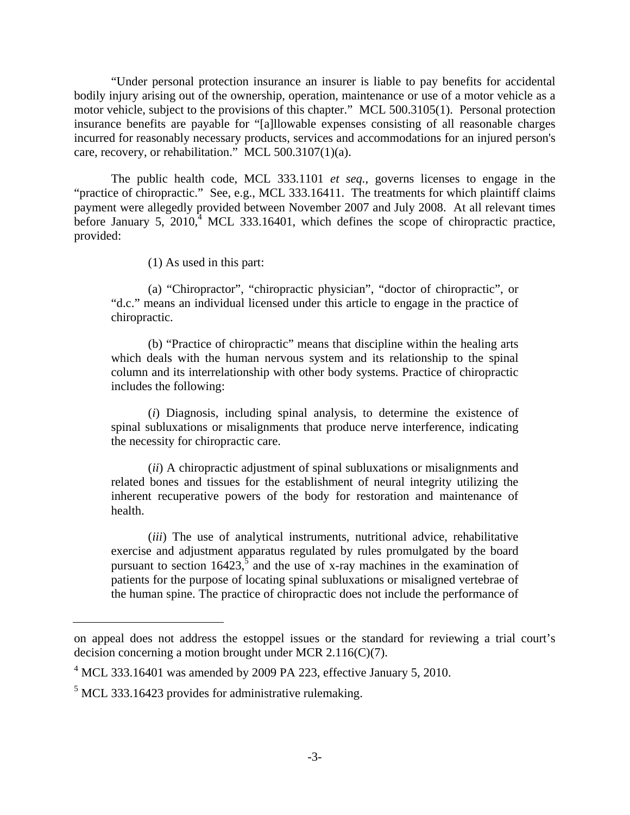"Under personal protection insurance an insurer is liable to pay benefits for accidental bodily injury arising out of the ownership, operation, maintenance or use of a motor vehicle as a motor vehicle, subject to the provisions of this chapter." MCL 500.3105(1). Personal protection insurance benefits are payable for "[a]llowable expenses consisting of all reasonable charges incurred for reasonably necessary products, services and accommodations for an injured person's care, recovery, or rehabilitation." MCL 500.3107(1)(a).

 The public health code, MCL 333.1101 *et seq.*, governs licenses to engage in the "practice of chiropractic." See, e.g., MCL 333.16411. The treatments for which plaintiff claims payment were allegedly provided between November 2007 and July 2008. At all relevant times before January  $5, 2010$ , MCL 333.16401, which defines the scope of chiropractic practice, provided:

(1) As used in this part:

 (a) "Chiropractor", "chiropractic physician", "doctor of chiropractic", or "d.c." means an individual licensed under this article to engage in the practice of chiropractic.

 (b) "Practice of chiropractic" means that discipline within the healing arts which deals with the human nervous system and its relationship to the spinal column and its interrelationship with other body systems. Practice of chiropractic includes the following:

 (*i*) Diagnosis, including spinal analysis, to determine the existence of spinal subluxations or misalignments that produce nerve interference, indicating the necessity for chiropractic care.

 (*ii*) A chiropractic adjustment of spinal subluxations or misalignments and related bones and tissues for the establishment of neural integrity utilizing the inherent recuperative powers of the body for restoration and maintenance of health.

 (*iii*) The use of analytical instruments, nutritional advice, rehabilitative exercise and adjustment apparatus regulated by rules promulgated by the board pursuant to section  $16423$ <sup>5</sup> and the use of x-ray machines in the examination of patients for the purpose of locating spinal subluxations or misaligned vertebrae of the human spine. The practice of chiropractic does not include the performance of

on appeal does not address the estoppel issues or the standard for reviewing a trial court's decision concerning a motion brought under MCR 2.116(C)(7).

 $4$  MCL 333.16401 was amended by 2009 PA 223, effective January 5, 2010.

 $<sup>5</sup>$  MCL 333.16423 provides for administrative rulemaking.</sup>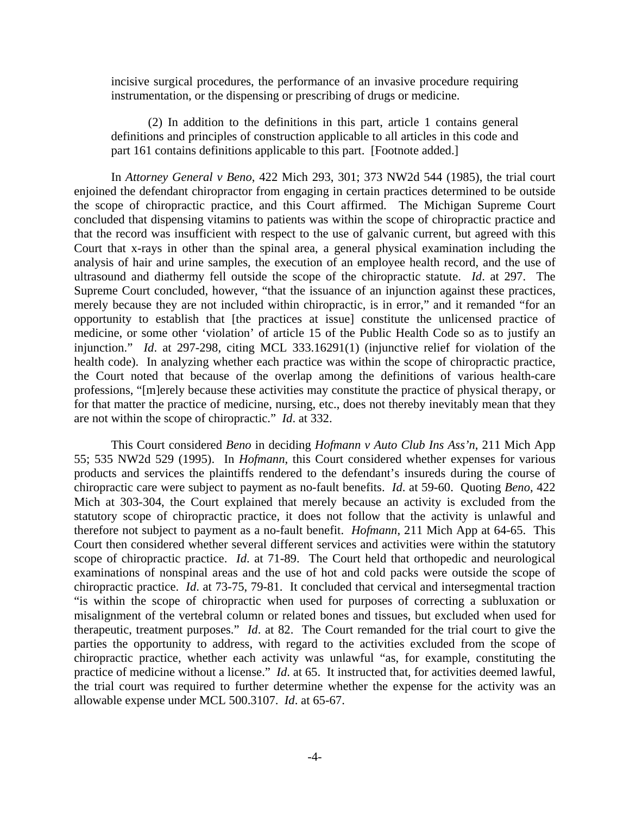incisive surgical procedures, the performance of an invasive procedure requiring instrumentation, or the dispensing or prescribing of drugs or medicine.

 (2) In addition to the definitions in this part, article 1 contains general definitions and principles of construction applicable to all articles in this code and part 161 contains definitions applicable to this part. [Footnote added.]

 In *Attorney General v Beno*, 422 Mich 293, 301; 373 NW2d 544 (1985), the trial court enjoined the defendant chiropractor from engaging in certain practices determined to be outside the scope of chiropractic practice, and this Court affirmed. The Michigan Supreme Court concluded that dispensing vitamins to patients was within the scope of chiropractic practice and that the record was insufficient with respect to the use of galvanic current, but agreed with this Court that x-rays in other than the spinal area, a general physical examination including the analysis of hair and urine samples, the execution of an employee health record, and the use of ultrasound and diathermy fell outside the scope of the chiropractic statute. *Id*. at 297. The Supreme Court concluded, however, "that the issuance of an injunction against these practices, merely because they are not included within chiropractic, is in error," and it remanded "for an opportunity to establish that [the practices at issue] constitute the unlicensed practice of medicine, or some other 'violation' of article 15 of the Public Health Code so as to justify an injunction." *Id*. at 297-298, citing MCL 333.16291(1) (injunctive relief for violation of the health code). In analyzing whether each practice was within the scope of chiropractic practice, the Court noted that because of the overlap among the definitions of various health-care professions, "[m]erely because these activities may constitute the practice of physical therapy, or for that matter the practice of medicine, nursing, etc., does not thereby inevitably mean that they are not within the scope of chiropractic." *Id*. at 332.

 This Court considered *Beno* in deciding *Hofmann v Auto Club Ins Ass'n*, 211 Mich App 55; 535 NW2d 529 (1995). In *Hofmann*, this Court considered whether expenses for various products and services the plaintiffs rendered to the defendant's insureds during the course of chiropractic care were subject to payment as no-fault benefits. *Id*. at 59-60. Quoting *Beno*, 422 Mich at 303-304, the Court explained that merely because an activity is excluded from the statutory scope of chiropractic practice, it does not follow that the activity is unlawful and therefore not subject to payment as a no-fault benefit. *Hofmann*, 211 Mich App at 64-65. This Court then considered whether several different services and activities were within the statutory scope of chiropractic practice. *Id*. at 71-89. The Court held that orthopedic and neurological examinations of nonspinal areas and the use of hot and cold packs were outside the scope of chiropractic practice. *Id*. at 73-75, 79-81. It concluded that cervical and intersegmental traction "is within the scope of chiropractic when used for purposes of correcting a subluxation or misalignment of the vertebral column or related bones and tissues, but excluded when used for therapeutic, treatment purposes." *Id*. at 82. The Court remanded for the trial court to give the parties the opportunity to address, with regard to the activities excluded from the scope of chiropractic practice, whether each activity was unlawful "as, for example, constituting the practice of medicine without a license." *Id*. at 65. It instructed that, for activities deemed lawful, the trial court was required to further determine whether the expense for the activity was an allowable expense under MCL 500.3107. *Id*. at 65-67.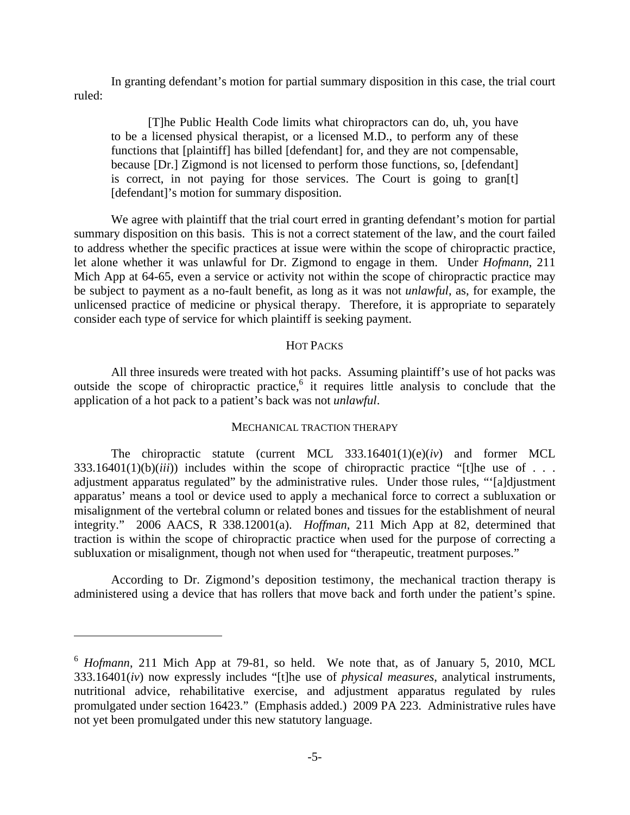In granting defendant's motion for partial summary disposition in this case, the trial court ruled:

 [T]he Public Health Code limits what chiropractors can do, uh, you have to be a licensed physical therapist, or a licensed M.D., to perform any of these functions that [plaintiff] has billed [defendant] for, and they are not compensable, because [Dr.] Zigmond is not licensed to perform those functions, so, [defendant] is correct, in not paying for those services. The Court is going to gran[t] [defendant]'s motion for summary disposition.

We agree with plaintiff that the trial court erred in granting defendant's motion for partial summary disposition on this basis. This is not a correct statement of the law, and the court failed to address whether the specific practices at issue were within the scope of chiropractic practice, let alone whether it was unlawful for Dr. Zigmond to engage in them. Under *Hofmann*, 211 Mich App at 64-65, even a service or activity not within the scope of chiropractic practice may be subject to payment as a no-fault benefit, as long as it was not *unlawful*, as, for example, the unlicensed practice of medicine or physical therapy. Therefore, it is appropriate to separately consider each type of service for which plaintiff is seeking payment.

#### HOT PACKS

 All three insureds were treated with hot packs. Assuming plaintiff's use of hot packs was outside the scope of chiropractic practice,  $6\text{ it requires little analysis to conclude that the}$ application of a hot pack to a patient's back was not *unlawful*.

### MECHANICAL TRACTION THERAPY

 The chiropractic statute (current MCL 333.16401(1)(e)(*iv*) and former MCL  $333.16401(1)(b)(iii)$  includes within the scope of chiropractic practice "[t]he use of . . . adjustment apparatus regulated" by the administrative rules. Under those rules, "'[a]djustment apparatus' means a tool or device used to apply a mechanical force to correct a subluxation or misalignment of the vertebral column or related bones and tissues for the establishment of neural integrity." 2006 AACS, R 338.12001(a). *Hoffman*, 211 Mich App at 82, determined that traction is within the scope of chiropractic practice when used for the purpose of correcting a subluxation or misalignment, though not when used for "therapeutic, treatment purposes."

 According to Dr. Zigmond's deposition testimony, the mechanical traction therapy is administered using a device that has rollers that move back and forth under the patient's spine.

 $\overline{a}$ 

<sup>6</sup> *Hofmann*, 211 Mich App at 79-81, so held. We note that, as of January 5, 2010, MCL 333.16401(*iv*) now expressly includes "[t]he use of *physical measures*, analytical instruments, nutritional advice, rehabilitative exercise, and adjustment apparatus regulated by rules promulgated under section 16423." (Emphasis added.) 2009 PA 223. Administrative rules have not yet been promulgated under this new statutory language.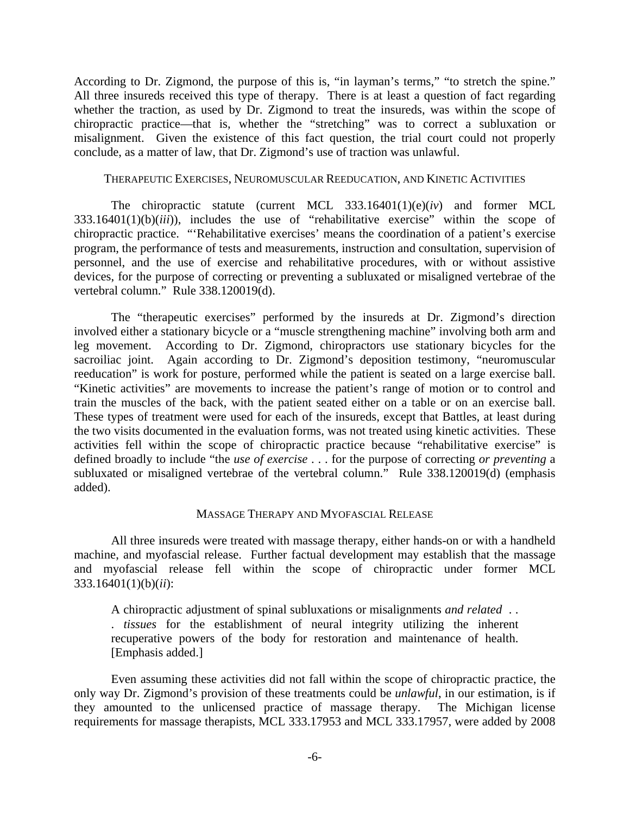According to Dr. Zigmond, the purpose of this is, "in layman's terms," "to stretch the spine." All three insureds received this type of therapy. There is at least a question of fact regarding whether the traction, as used by Dr. Zigmond to treat the insureds, was within the scope of chiropractic practice—that is, whether the "stretching" was to correct a subluxation or misalignment. Given the existence of this fact question, the trial court could not properly conclude, as a matter of law, that Dr. Zigmond's use of traction was unlawful.

#### THERAPEUTIC EXERCISES, NEUROMUSCULAR REEDUCATION, AND KINETIC ACTIVITIES

 The chiropractic statute (current MCL 333.16401(1)(e)(*iv*) and former MCL 333.16401(1)(b)(*iii*)), includes the use of "rehabilitative exercise" within the scope of chiropractic practice. "'Rehabilitative exercises' means the coordination of a patient's exercise program, the performance of tests and measurements, instruction and consultation, supervision of personnel, and the use of exercise and rehabilitative procedures, with or without assistive devices, for the purpose of correcting or preventing a subluxated or misaligned vertebrae of the vertebral column." Rule 338.120019(d).

 The "therapeutic exercises" performed by the insureds at Dr. Zigmond's direction involved either a stationary bicycle or a "muscle strengthening machine" involving both arm and leg movement. According to Dr. Zigmond, chiropractors use stationary bicycles for the sacroiliac joint. Again according to Dr. Zigmond's deposition testimony, "neuromuscular reeducation" is work for posture, performed while the patient is seated on a large exercise ball. "Kinetic activities" are movements to increase the patient's range of motion or to control and train the muscles of the back, with the patient seated either on a table or on an exercise ball. These types of treatment were used for each of the insureds, except that Battles, at least during the two visits documented in the evaluation forms, was not treated using kinetic activities. These activities fell within the scope of chiropractic practice because "rehabilitative exercise" is defined broadly to include "the *use of exercise* . . . for the purpose of correcting *or preventing* a subluxated or misaligned vertebrae of the vertebral column." Rule 338.120019(d) (emphasis added).

#### MASSAGE THERAPY AND MYOFASCIAL RELEASE

 All three insureds were treated with massage therapy, either hands-on or with a handheld machine, and myofascial release. Further factual development may establish that the massage and myofascial release fell within the scope of chiropractic under former MCL 333.16401(1)(b)(*ii*):

A chiropractic adjustment of spinal subluxations or misalignments *and related* . . . *tissues* for the establishment of neural integrity utilizing the inherent recuperative powers of the body for restoration and maintenance of health. [Emphasis added.]

 Even assuming these activities did not fall within the scope of chiropractic practice, the only way Dr. Zigmond's provision of these treatments could be *unlawful*, in our estimation, is if they amounted to the unlicensed practice of massage therapy. The Michigan license requirements for massage therapists, MCL 333.17953 and MCL 333.17957, were added by 2008